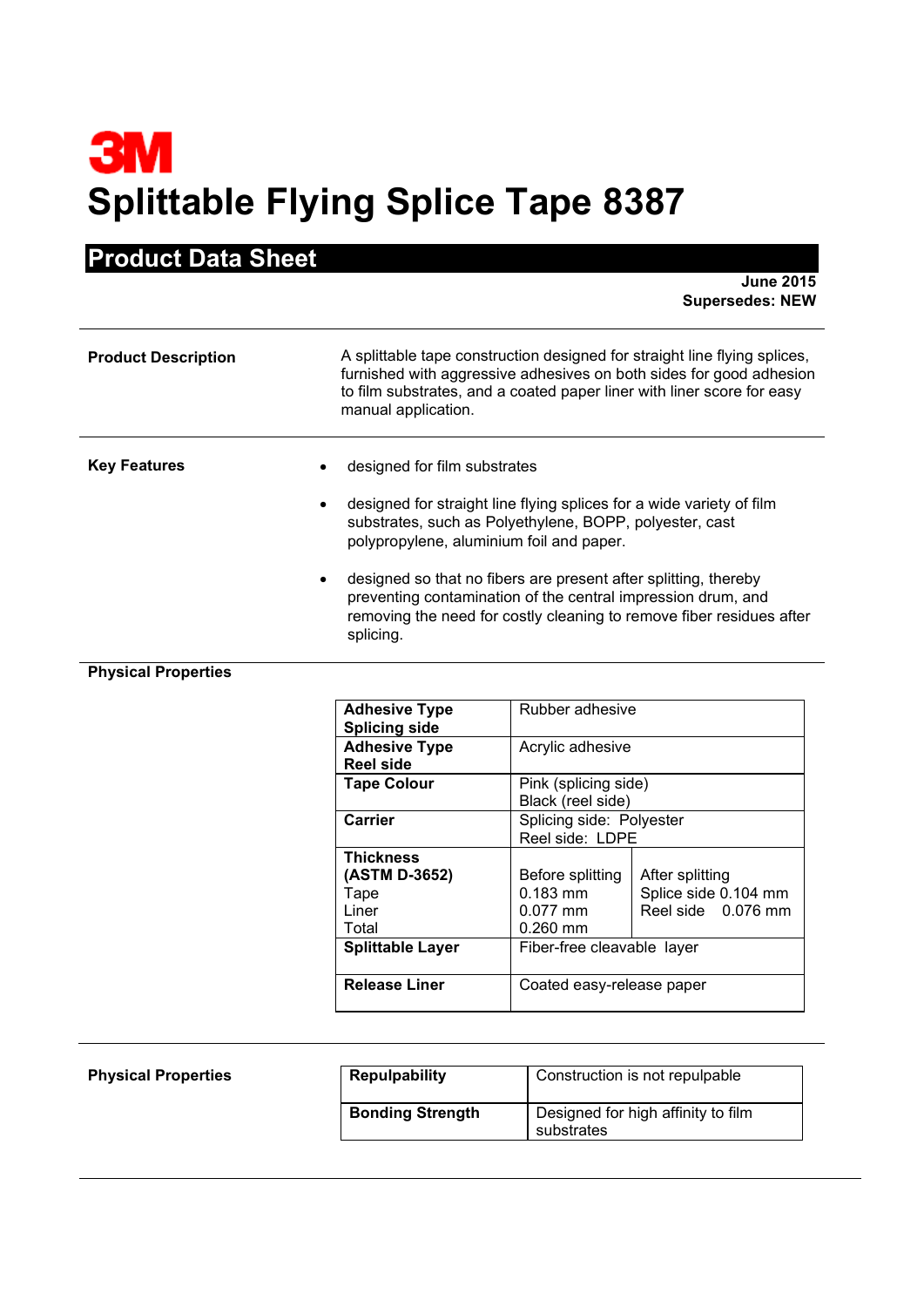# **3M Splittable Flying Splice Tape 8387**

# **Product Data Sheet**

**June 2015 Supersedes: NEW**

| <b>Product Description</b>    | A splittable tape construction designed for straight line flying splices,<br>furnished with aggressive adhesives on both sides for good adhesion<br>to film substrates, and a coated paper liner with liner score for easy<br>manual application.                                                                                                                                                                                   |
|-------------------------------|-------------------------------------------------------------------------------------------------------------------------------------------------------------------------------------------------------------------------------------------------------------------------------------------------------------------------------------------------------------------------------------------------------------------------------------|
| <b>Key Features</b><br>٠<br>٠ | designed for film substrates<br>designed for straight line flying splices for a wide variety of film<br>substrates, such as Polyethylene, BOPP, polyester, cast<br>polypropylene, aluminium foil and paper.<br>designed so that no fibers are present after splitting, thereby<br>preventing contamination of the central impression drum, and<br>removing the need for costly cleaning to remove fiber residues after<br>splicing. |

# **Physical Properties**

| <b>Adhesive Type</b><br><b>Splicing side</b>                                    | Rubber adhesive                                                                          |                                                               |
|---------------------------------------------------------------------------------|------------------------------------------------------------------------------------------|---------------------------------------------------------------|
| <b>Adhesive Type</b><br><b>Reel side</b>                                        | Acrylic adhesive                                                                         |                                                               |
| <b>Tape Colour</b>                                                              | Pink (splicing side)<br>Black (reel side)                                                |                                                               |
| Carrier                                                                         | Splicing side: Polyester<br>Reel side: LDPE                                              |                                                               |
| Thickness<br>(ASTM D-3652)<br>Tape<br>Liner<br>Total<br><b>Splittable Layer</b> | Before splitting<br>$0.183$ mm<br>$0.077$ mm<br>$0.260$ mm<br>Fiber-free cleavable layer | After splitting<br>Splice side 0.104 mm<br>Reel side 0.076 mm |
| <b>Release Liner</b>                                                            | Coated easy-release paper                                                                |                                                               |

| <b>Physical Properties</b> | <b>Repulpability</b>    | Construction is not repulpable                   |
|----------------------------|-------------------------|--------------------------------------------------|
|                            | <b>Bonding Strength</b> | Designed for high affinity to film<br>substrates |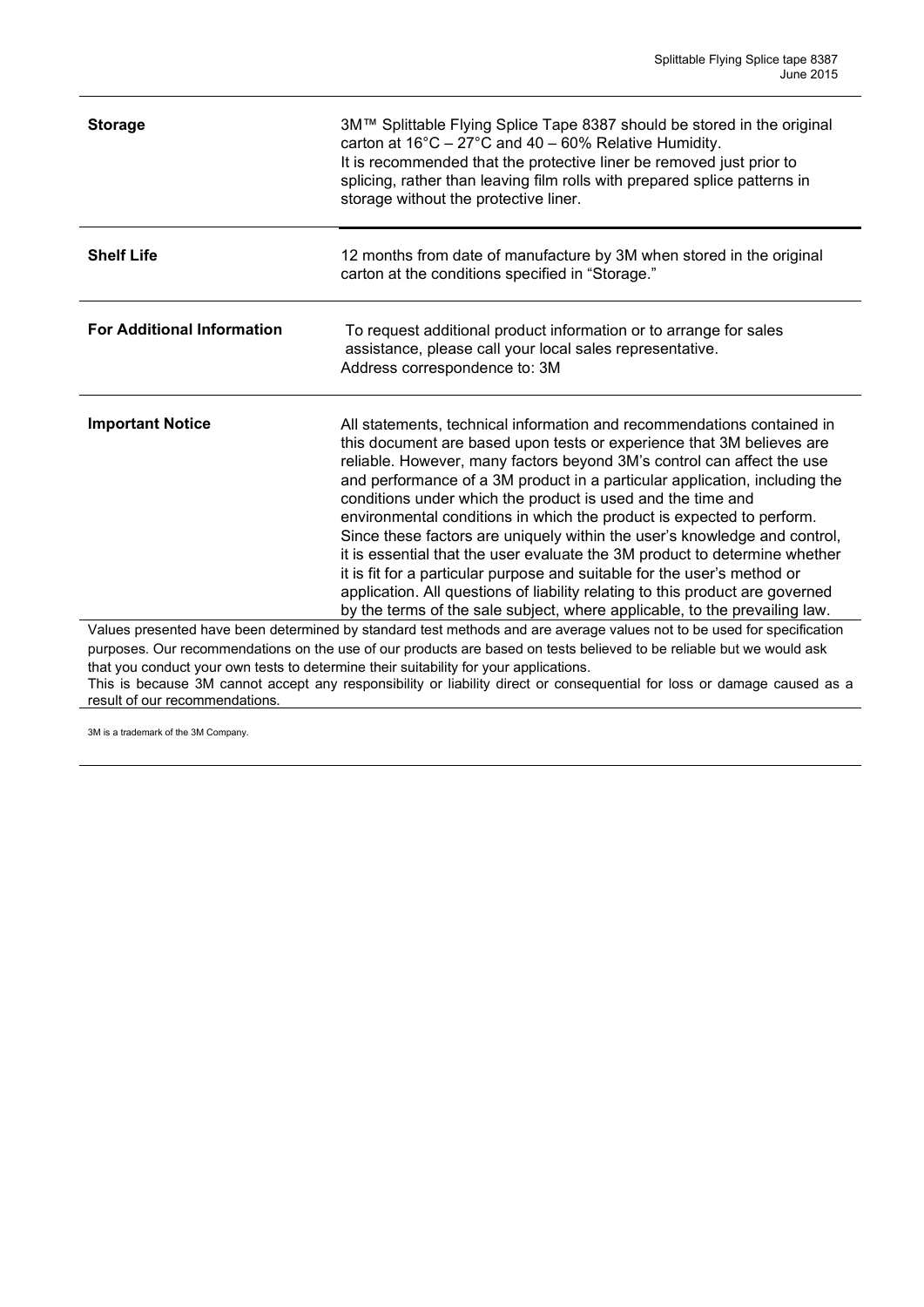| <b>Storage</b>                                                                                                          | 3M™ Splittable Flying Splice Tape 8387 should be stored in the original<br>carton at $16^{\circ}$ C - 27°C and 40 - 60% Relative Humidity.<br>It is recommended that the protective liner be removed just prior to<br>splicing, rather than leaving film rolls with prepared splice patterns in<br>storage without the protective liner.                                                                                                                                                                                                                                                                                                                                                                                                                                                                                                              |  |
|-------------------------------------------------------------------------------------------------------------------------|-------------------------------------------------------------------------------------------------------------------------------------------------------------------------------------------------------------------------------------------------------------------------------------------------------------------------------------------------------------------------------------------------------------------------------------------------------------------------------------------------------------------------------------------------------------------------------------------------------------------------------------------------------------------------------------------------------------------------------------------------------------------------------------------------------------------------------------------------------|--|
| <b>Shelf Life</b>                                                                                                       | 12 months from date of manufacture by 3M when stored in the original<br>carton at the conditions specified in "Storage."                                                                                                                                                                                                                                                                                                                                                                                                                                                                                                                                                                                                                                                                                                                              |  |
| <b>For Additional Information</b>                                                                                       | To request additional product information or to arrange for sales<br>assistance, please call your local sales representative.<br>Address correspondence to: 3M                                                                                                                                                                                                                                                                                                                                                                                                                                                                                                                                                                                                                                                                                        |  |
| <b>Important Notice</b>                                                                                                 | All statements, technical information and recommendations contained in<br>this document are based upon tests or experience that 3M believes are<br>reliable. However, many factors beyond 3M's control can affect the use<br>and performance of a 3M product in a particular application, including the<br>conditions under which the product is used and the time and<br>environmental conditions in which the product is expected to perform.<br>Since these factors are uniquely within the user's knowledge and control,<br>it is essential that the user evaluate the 3M product to determine whether<br>it is fit for a particular purpose and suitable for the user's method or<br>application. All questions of liability relating to this product are governed<br>by the terms of the sale subject, where applicable, to the prevailing law. |  |
| Values presented have been determined by standard test methods and are average values not to be used for specification  |                                                                                                                                                                                                                                                                                                                                                                                                                                                                                                                                                                                                                                                                                                                                                                                                                                                       |  |
| purposes. Our recommendations on the use of our products are based on tests believed to be reliable but we would ask    |                                                                                                                                                                                                                                                                                                                                                                                                                                                                                                                                                                                                                                                                                                                                                                                                                                                       |  |
| that you conduct your own tests to determine their suitability for your applications.                                   |                                                                                                                                                                                                                                                                                                                                                                                                                                                                                                                                                                                                                                                                                                                                                                                                                                                       |  |
| This is because 3M cannot accept any responsibility or liability direct or consequential for loss or damage caused as a |                                                                                                                                                                                                                                                                                                                                                                                                                                                                                                                                                                                                                                                                                                                                                                                                                                                       |  |
| result of our recommendations.                                                                                          |                                                                                                                                                                                                                                                                                                                                                                                                                                                                                                                                                                                                                                                                                                                                                                                                                                                       |  |

3M is a trademark of the 3M Company.